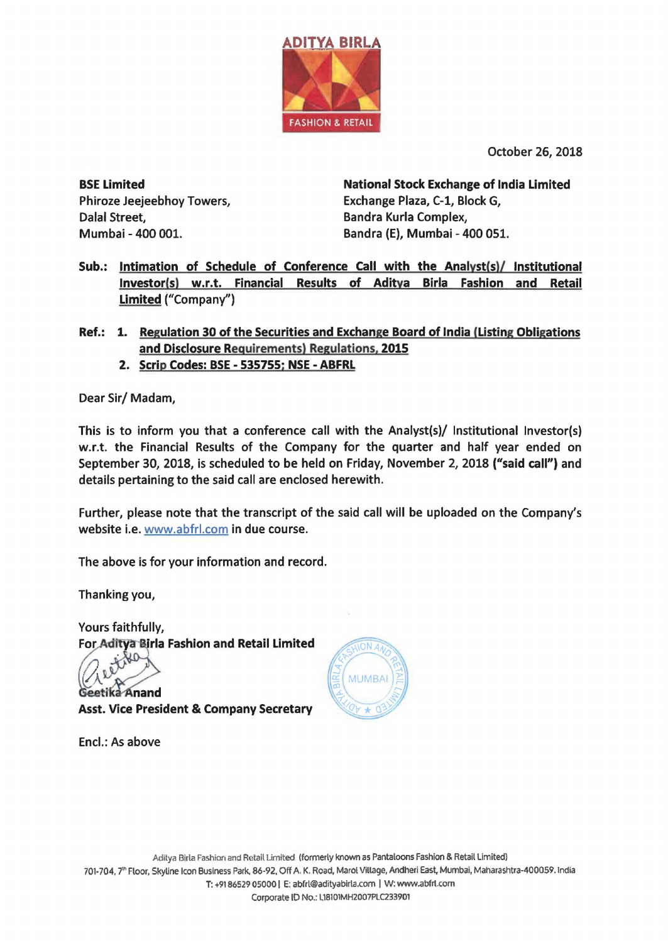

October 26, 2018

BSE Limited Phiroze Jeejeebhoy Towers, Dalal Street, Mumbai -400 001.

National Stock Exchange of India Limited Exchange Plaza, C-1, Block G, Bandra Kurla Complex, Bandra (E), Mumbai - 400 051.

- Sub.: Intimation of Schedule of Conference Call with the Analyst(s)/ Institutional lnvestor(s) w.r.t. Financial Results of Aditya Birla Fashion and Retail Limited ("Company")
- Ref.: 1. Regulation 30 of the Securities and Exchange Board of India (Listing Obligations and Disclosure Requirements) Regulations, 2015
	- 2. Scrip Codes: BSE 535755; NSE ABFRL

Dear Sir/ Madam,

This is to inform you that a conference call with the Analyst(s)/ Institutional lnvestor(s) w.r.t. the Financial Results of the Company for the quarter and half year ended on September 30, 2018, is scheduled to be held on Friday, November 2, 2018 ("said call") and details pertaining to the said call are enclosed herewith.

Further, please note that the transcript of the said call will be uploaded on the Company's website i.e. www.abfrl.com in due course.

The above is for your information and record.

Thanking you,

Yours faithfully, For Aditya Birla Fashion and Retail Limited

etika Anand

Asst. Vice President & Company Secretary

Encl.: As above